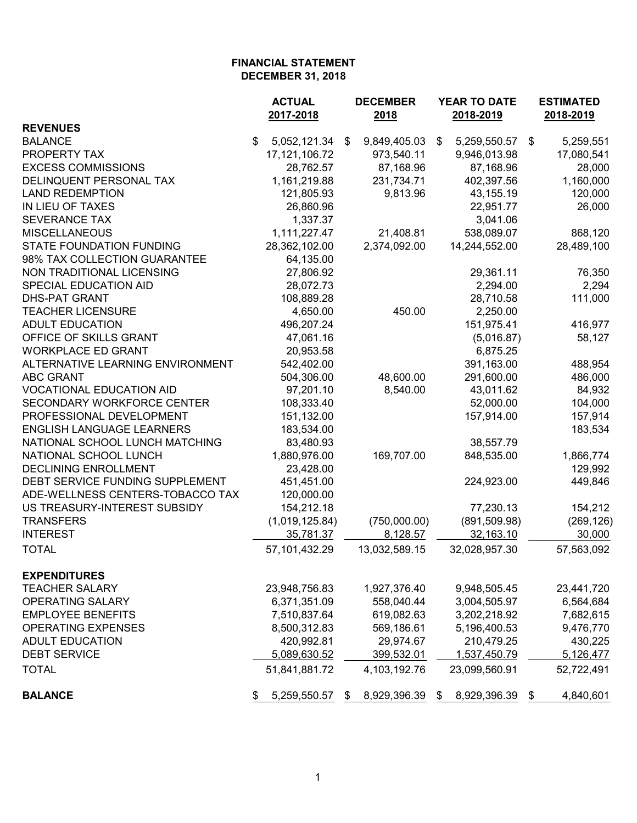|                                  | <b>ACTUAL</b>      | <b>DECEMBER</b>    | YEAR TO DATE       | <b>ESTIMATED</b><br>2018-2019 |  |
|----------------------------------|--------------------|--------------------|--------------------|-------------------------------|--|
| <b>REVENUES</b>                  | 2017-2018          | 2018               | 2018-2019          |                               |  |
| <b>BALANCE</b>                   | \$<br>5,052,121.34 | 9,849,405.03<br>\$ | \$<br>5,259,550.57 | 5,259,551<br>\$               |  |
| PROPERTY TAX                     | 17, 121, 106. 72   | 973,540.11         | 9,946,013.98       | 17,080,541                    |  |
| <b>EXCESS COMMISSIONS</b>        | 28,762.57          | 87,168.96          | 87,168.96          | 28,000                        |  |
| DELINQUENT PERSONAL TAX          | 1,161,219.88       | 231,734.71         | 402,397.56         | 1,160,000                     |  |
| <b>LAND REDEMPTION</b>           | 121,805.93         | 9,813.96           | 43,155.19          | 120,000                       |  |
| IN LIEU OF TAXES                 | 26,860.96          |                    | 22,951.77          | 26,000                        |  |
| <b>SEVERANCE TAX</b>             | 1,337.37           |                    | 3,041.06           |                               |  |
| <b>MISCELLANEOUS</b>             | 1,111,227.47       | 21,408.81          | 538,089.07         | 868,120                       |  |
| STATE FOUNDATION FUNDING         | 28,362,102.00      | 2,374,092.00       | 14,244,552.00      | 28,489,100                    |  |
| 98% TAX COLLECTION GUARANTEE     | 64,135.00          |                    |                    |                               |  |
| NON TRADITIONAL LICENSING        | 27,806.92          |                    | 29,361.11          | 76,350                        |  |
| SPECIAL EDUCATION AID            | 28,072.73          |                    | 2,294.00           | 2,294                         |  |
| <b>DHS-PAT GRANT</b>             | 108,889.28         |                    | 28,710.58          | 111,000                       |  |
| <b>TEACHER LICENSURE</b>         | 4,650.00           | 450.00             | 2,250.00           |                               |  |
| <b>ADULT EDUCATION</b>           | 496,207.24         |                    | 151,975.41         | 416,977                       |  |
| OFFICE OF SKILLS GRANT           | 47,061.16          |                    | (5,016.87)         | 58,127                        |  |
| <b>WORKPLACE ED GRANT</b>        | 20,953.58          |                    | 6,875.25           |                               |  |
| ALTERNATIVE LEARNING ENVIRONMENT | 542,402.00         |                    | 391,163.00         | 488,954                       |  |
| <b>ABC GRANT</b>                 | 504,306.00         | 48,600.00          | 291,600.00         | 486,000                       |  |
| <b>VOCATIONAL EDUCATION AID</b>  | 97,201.10          | 8,540.00           | 43,011.62          | 84,932                        |  |
| SECONDARY WORKFORCE CENTER       | 108,333.40         |                    | 52,000.00          | 104,000                       |  |
| PROFESSIONAL DEVELOPMENT         | 151,132.00         |                    | 157,914.00         | 157,914                       |  |
| <b>ENGLISH LANGUAGE LEARNERS</b> | 183,534.00         |                    |                    | 183,534                       |  |
| NATIONAL SCHOOL LUNCH MATCHING   | 83,480.93          |                    | 38,557.79          |                               |  |
| NATIONAL SCHOOL LUNCH            | 1,880,976.00       | 169,707.00         | 848,535.00         | 1,866,774                     |  |
| <b>DECLINING ENROLLMENT</b>      | 23,428.00          |                    |                    | 129,992                       |  |
| DEBT SERVICE FUNDING SUPPLEMENT  | 451,451.00         |                    | 224,923.00         | 449,846                       |  |
| ADE-WELLNESS CENTERS-TOBACCO TAX | 120,000.00         |                    |                    |                               |  |
| US TREASURY-INTEREST SUBSIDY     | 154,212.18         |                    | 77,230.13          | 154,212                       |  |
| <b>TRANSFERS</b>                 | (1,019,125.84)     | (750,000.00)       | (891, 509.98)      | (269, 126)                    |  |
| <b>INTEREST</b>                  | 35,781.37          | 8,128.57           | 32,163.10          | 30,000                        |  |
| <b>TOTAL</b>                     | 57,101,432.29      | 13,032,589.15      | 32,028,957.30      | 57,563,092                    |  |
| <b>EXPENDITURES</b>              |                    |                    |                    |                               |  |
| <b>TEACHER SALARY</b>            | 23,948,756.83      | 1,927,376.40       | 9,948,505.45       | 23,441,720                    |  |
| OPERATING SALARY                 | 6,371,351.09       | 558,040.44         | 3,004,505.97       | 6,564,684                     |  |
| <b>EMPLOYEE BENEFITS</b>         | 7,510,837.64       | 619,082.63         | 3,202,218.92       | 7,682,615                     |  |
| <b>OPERATING EXPENSES</b>        | 8,500,312.83       | 569,186.61         | 5,196,400.53       | 9,476,770                     |  |
| <b>ADULT EDUCATION</b>           | 420,992.81         | 29,974.67          | 210,479.25         | 430,225                       |  |
| <b>DEBT SERVICE</b>              | 5,089,630.52       | 399,532.01         | 1,537,450.79       | 5,126,477                     |  |
| <b>TOTAL</b>                     | 51,841,881.72      | 4, 103, 192. 76    | 23,099,560.91      | 52,722,491                    |  |
| <b>BALANCE</b>                   | 5,259,550.57<br>\$ | 8,929,396.39<br>\$ | 8,929,396.39<br>S. | 4,840,601<br>\$               |  |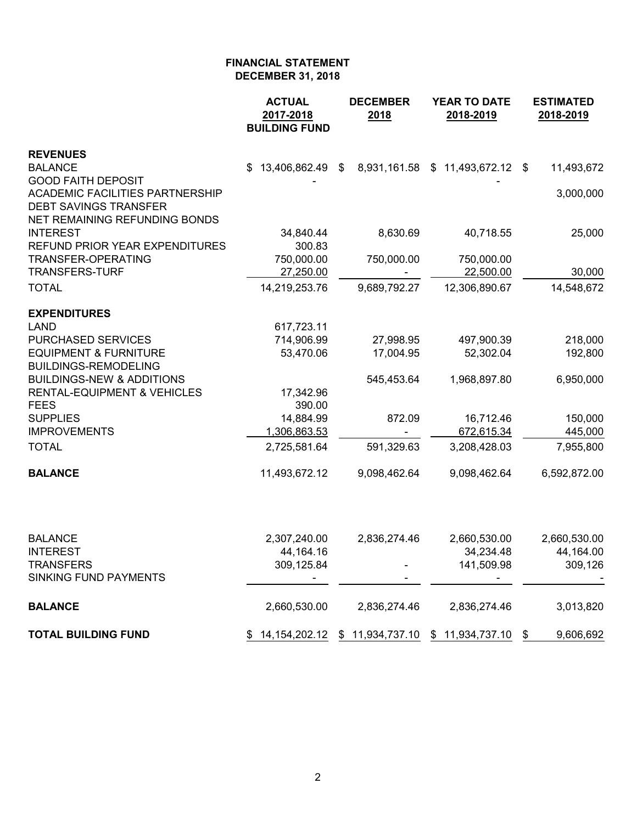|                                                                                                     | <b>ACTUAL</b><br>2017-2018<br><b>BUILDING FUND</b> | <b>DECEMBER</b><br>2018                         | YEAR TO DATE<br>2018-2019        | <b>ESTIMATED</b><br>2018-2019 |  |  |
|-----------------------------------------------------------------------------------------------------|----------------------------------------------------|-------------------------------------------------|----------------------------------|-------------------------------|--|--|
| <b>REVENUES</b>                                                                                     |                                                    |                                                 |                                  |                               |  |  |
| <b>BALANCE</b>                                                                                      | 13,406,862.49 \$<br>\$.                            |                                                 | 8,931,161.58 \$ 11,493,672.12 \$ | 11,493,672                    |  |  |
| <b>GOOD FAITH DEPOSIT</b><br><b>ACADEMIC FACILITIES PARTNERSHIP</b><br><b>DEBT SAVINGS TRANSFER</b> |                                                    |                                                 |                                  | 3,000,000                     |  |  |
| NET REMAINING REFUNDING BONDS<br><b>INTEREST</b><br>REFUND PRIOR YEAR EXPENDITURES                  | 34,840.44<br>300.83                                | 8,630.69                                        | 40,718.55                        | 25,000                        |  |  |
| TRANSFER-OPERATING                                                                                  | 750,000.00                                         | 750,000.00                                      | 750,000.00                       |                               |  |  |
| <b>TRANSFERS-TURF</b>                                                                               | 27,250.00                                          |                                                 | 22,500.00                        | 30,000                        |  |  |
| <b>TOTAL</b>                                                                                        | 14,219,253.76                                      | 9,689,792.27                                    | 12,306,890.67                    | 14,548,672                    |  |  |
| <b>EXPENDITURES</b>                                                                                 |                                                    |                                                 |                                  |                               |  |  |
| <b>LAND</b>                                                                                         | 617,723.11                                         |                                                 |                                  |                               |  |  |
| <b>PURCHASED SERVICES</b>                                                                           | 714,906.99                                         | 27,998.95                                       | 497,900.39                       | 218,000                       |  |  |
| <b>EQUIPMENT &amp; FURNITURE</b><br><b>BUILDINGS-REMODELING</b>                                     | 53,470.06                                          | 17,004.95                                       | 52,302.04                        | 192,800                       |  |  |
| <b>BUILDINGS-NEW &amp; ADDITIONS</b>                                                                |                                                    | 545,453.64                                      | 1,968,897.80                     | 6,950,000                     |  |  |
| <b>RENTAL-EQUIPMENT &amp; VEHICLES</b>                                                              | 17,342.96                                          |                                                 |                                  |                               |  |  |
| <b>FEES</b>                                                                                         | 390.00                                             |                                                 |                                  |                               |  |  |
| <b>SUPPLIES</b>                                                                                     | 14,884.99                                          | 872.09                                          | 16,712.46                        | 150,000                       |  |  |
| <b>IMPROVEMENTS</b>                                                                                 | 1,306,863.53                                       |                                                 | 672,615.34                       | 445,000                       |  |  |
| <b>TOTAL</b>                                                                                        | 2,725,581.64                                       | 591,329.63                                      | 3,208,428.03                     | 7,955,800                     |  |  |
| <b>BALANCE</b>                                                                                      | 11,493,672.12                                      | 9,098,462.64                                    | 9,098,462.64                     | 6,592,872.00                  |  |  |
|                                                                                                     |                                                    |                                                 |                                  |                               |  |  |
| <b>BALANCE</b>                                                                                      | 2,307,240.00                                       | 2,836,274.46                                    | 2,660,530.00                     | 2,660,530.00                  |  |  |
| <b>INTEREST</b>                                                                                     | 44,164.16                                          |                                                 | 34,234.48                        | 44,164.00                     |  |  |
| <b>TRANSFERS</b><br>SINKING FUND PAYMENTS                                                           | 309,125.84                                         |                                                 | 141,509.98                       | 309,126                       |  |  |
| <b>BALANCE</b>                                                                                      | 2,660,530.00                                       | 2,836,274.46                                    | 2,836,274.46                     | 3,013,820                     |  |  |
| <b>TOTAL BUILDING FUND</b>                                                                          |                                                    | 14,154,202.12 \$ 11,934,737.10 \$ 11,934,737.10 |                                  | 9,606,692<br>\$               |  |  |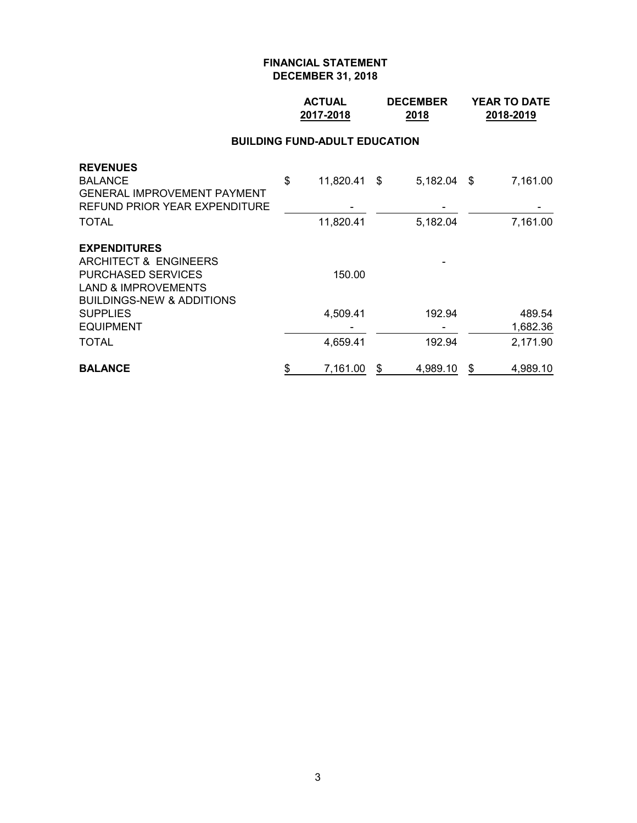## **ACTUAL DECEMBER YEAR TO DATE 2017-2018 2018 2018-2019**

#### **BUILDING FUND-ADULT EDUCATION**

| <b>REVENUES</b>                      |                    |   |               |                |
|--------------------------------------|--------------------|---|---------------|----------------|
| <b>BALANCE</b>                       | \$<br>11,820.41 \$ |   | $5,182.04$ \$ | 7,161.00       |
| <b>GENERAL IMPROVEMENT PAYMENT</b>   |                    |   |               |                |
| REFUND PRIOR YEAR EXPENDITURE        |                    |   |               |                |
| <b>TOTAL</b>                         | 11,820.41          |   | 5,182.04      | 7,161.00       |
| <b>EXPENDITURES</b>                  |                    |   |               |                |
| ARCHITECT & ENGINEERS                |                    |   |               |                |
| <b>PURCHASED SERVICES</b>            | 150.00             |   |               |                |
| <b>LAND &amp; IMPROVEMENTS</b>       |                    |   |               |                |
| <b>BUILDINGS-NEW &amp; ADDITIONS</b> |                    |   |               |                |
| <b>SUPPLIES</b>                      | 4,509.41           |   | 192.94        | 489.54         |
| <b>EQUIPMENT</b>                     |                    |   |               | 1,682.36       |
| <b>TOTAL</b>                         | 4,659.41           |   | 192.94        | 2,171.90       |
| <b>BALANCE</b>                       | \$<br>7,161.00     | S | 4,989.10      | \$<br>4,989.10 |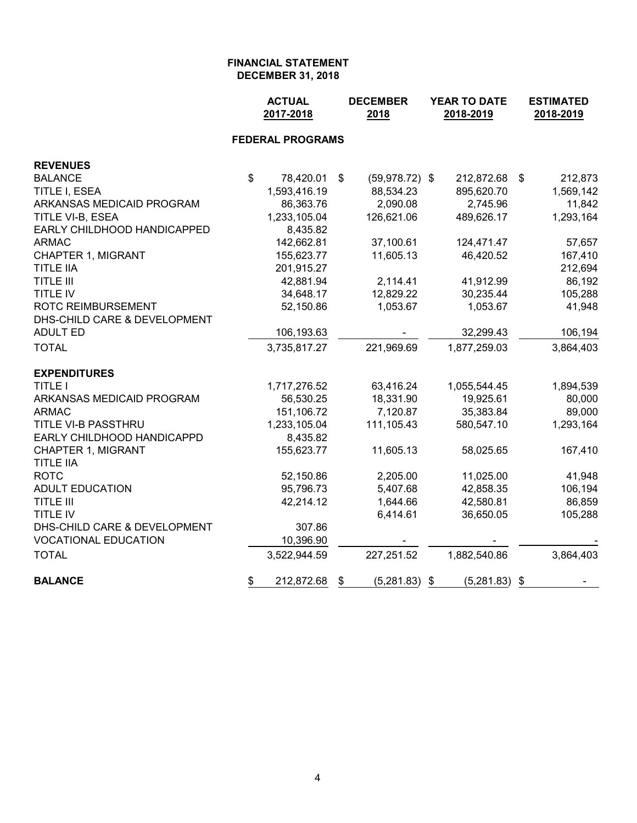|                                               |                           | <b>ACTUAL</b><br>2017-2018 |    | <b>DECEMBER</b><br>2018 | YEAR TO DATE<br>2018-2019 | <b>ESTIMATED</b><br>2018-2019 |
|-----------------------------------------------|---------------------------|----------------------------|----|-------------------------|---------------------------|-------------------------------|
|                                               |                           | <b>FEDERAL PROGRAMS</b>    |    |                         |                           |                               |
| <b>REVENUES</b>                               |                           |                            |    |                         |                           |                               |
| <b>BALANCE</b>                                | $\boldsymbol{\mathsf{s}}$ | 78,420.01                  | \$ | $(59,978.72)$ \$        | 212,872.68                | \$<br>212,873                 |
| TITLE I, ESEA                                 |                           | 1,593,416.19               |    | 88,534.23               | 895,620.70                | 1,569,142                     |
| ARKANSAS MEDICAID PROGRAM                     |                           | 86,363.76                  |    | 2,090.08                | 2,745.96                  | 11,842                        |
| TITLE VI-B, ESEA                              |                           | 1,233,105.04               |    | 126,621.06              | 489,626.17                | 1,293,164                     |
| EARLY CHILDHOOD HANDICAPPED                   |                           | 8,435.82                   |    |                         |                           |                               |
| <b>ARMAC</b>                                  |                           | 142,662.81                 |    | 37,100.61               | 124,471.47                | 57,657                        |
| <b>CHAPTER 1, MIGRANT</b>                     |                           | 155,623.77                 |    | 11,605.13               | 46,420.52                 | 167,410                       |
| <b>TITLE IIA</b>                              |                           | 201,915.27                 |    |                         |                           | 212,694                       |
| <b>TITLE III</b>                              |                           | 42,881.94                  |    | 2,114.41                | 41,912.99                 | 86,192                        |
| <b>TITLE IV</b>                               |                           | 34,648.17                  |    | 12,829.22               | 30,235.44                 | 105,288                       |
| <b>ROTC REIMBURSEMENT</b>                     |                           | 52,150.86                  |    | 1,053.67                | 1,053.67                  | 41,948                        |
| DHS-CHILD CARE & DEVELOPMENT                  |                           |                            |    |                         |                           |                               |
| <b>ADULT ED</b>                               |                           | 106,193.63                 |    |                         | 32,299.43                 | 106,194                       |
| <b>TOTAL</b>                                  |                           | 3,735,817.27               |    | 221,969.69              | 1,877,259.03              | 3,864,403                     |
| <b>EXPENDITURES</b>                           |                           |                            |    |                         |                           |                               |
| <b>TITLE I</b>                                |                           | 1,717,276.52               |    | 63,416.24               | 1,055,544.45              | 1,894,539                     |
| ARKANSAS MEDICAID PROGRAM                     |                           | 56,530.25                  |    | 18,331.90               | 19,925.61                 | 80,000                        |
| <b>ARMAC</b>                                  |                           | 151,106.72                 |    | 7,120.87                | 35,383.84                 | 89,000                        |
| TITLE VI-B PASSTHRU                           |                           | 1,233,105.04               |    | 111,105.43              | 580,547.10                | 1,293,164                     |
| EARLY CHILDHOOD HANDICAPPD                    |                           | 8,435.82                   |    |                         |                           |                               |
| <b>CHAPTER 1, MIGRANT</b><br><b>TITLE IIA</b> |                           | 155,623.77                 |    | 11,605.13               | 58,025.65                 | 167,410                       |
| <b>ROTC</b>                                   |                           | 52,150.86                  |    | 2,205.00                | 11,025.00                 | 41,948                        |
| <b>ADULT EDUCATION</b>                        |                           | 95,796.73                  |    | 5,407.68                | 42,858.35                 | 106,194                       |
| <b>TITLE III</b>                              |                           | 42,214.12                  |    | 1,644.66                | 42,580.81                 | 86,859                        |
| TITLE IV                                      |                           |                            |    | 6,414.61                | 36,650.05                 | 105,288                       |
| DHS-CHILD CARE & DEVELOPMENT                  |                           | 307.86                     |    |                         |                           |                               |
| <b>VOCATIONAL EDUCATION</b>                   |                           | 10,396.90                  |    |                         |                           |                               |
| <b>TOTAL</b>                                  |                           | 3,522,944.59               |    | 227,251.52              | 1,882,540.86              | 3,864,403                     |
| <b>BALANCE</b>                                | \$                        | 212,872.68                 | \$ | (5,281.83)              | \$<br>(5,281.83)          | \$                            |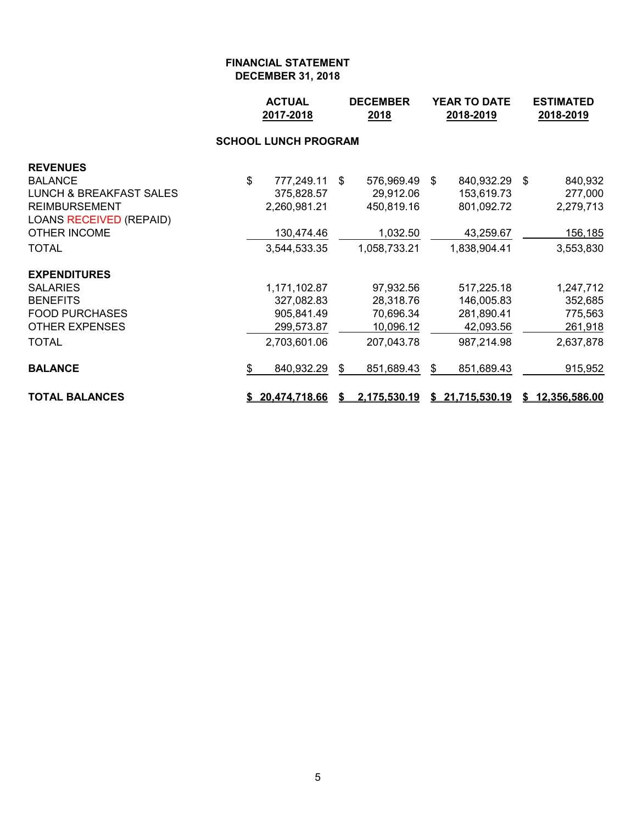|                                    |    | <b>ACTUAL</b><br>2017-2018 | <b>DECEMBER</b><br>2018 |              | <b>YEAR TO DATE</b><br>2018-2019 |                 |  | <b>ESTIMATED</b><br>2018-2019 |  |  |  |  |
|------------------------------------|----|----------------------------|-------------------------|--------------|----------------------------------|-----------------|--|-------------------------------|--|--|--|--|
| <b>SCHOOL LUNCH PROGRAM</b>        |    |                            |                         |              |                                  |                 |  |                               |  |  |  |  |
| <b>REVENUES</b>                    |    |                            |                         |              |                                  |                 |  |                               |  |  |  |  |
| <b>BALANCE</b>                     | \$ | 777,249.11                 | -\$                     | 576,969.49   | -\$                              | 840,932.29 \$   |  | 840,932                       |  |  |  |  |
| <b>LUNCH &amp; BREAKFAST SALES</b> |    | 375,828.57                 |                         | 29,912.06    |                                  | 153,619.73      |  | 277,000                       |  |  |  |  |
| <b>REIMBURSEMENT</b>               |    | 2,260,981.21               |                         | 450,819.16   |                                  | 801,092.72      |  | 2,279,713                     |  |  |  |  |
| LOANS RECEIVED (REPAID)            |    |                            |                         |              |                                  |                 |  |                               |  |  |  |  |
| <b>OTHER INCOME</b>                |    | 130,474.46                 |                         | 1,032.50     |                                  | 43,259.67       |  | 156,185                       |  |  |  |  |
| <b>TOTAL</b>                       |    | 3,544,533.35               |                         | 1,058,733.21 |                                  | 1,838,904.41    |  | 3,553,830                     |  |  |  |  |
| <b>EXPENDITURES</b>                |    |                            |                         |              |                                  |                 |  |                               |  |  |  |  |
| <b>SALARIES</b>                    |    | 1,171,102.87               |                         | 97,932.56    |                                  | 517,225.18      |  | 1,247,712                     |  |  |  |  |
| <b>BENEFITS</b>                    |    | 327,082.83                 |                         | 28,318.76    |                                  | 146,005.83      |  | 352,685                       |  |  |  |  |
| <b>FOOD PURCHASES</b>              |    | 905,841.49                 |                         | 70,696.34    |                                  | 281,890.41      |  | 775,563                       |  |  |  |  |
| <b>OTHER EXPENSES</b>              |    | 299,573.87                 |                         | 10,096.12    |                                  | 42,093.56       |  | 261,918                       |  |  |  |  |
| <b>TOTAL</b>                       |    | 2,703,601.06               |                         | 207,043.78   |                                  | 987,214.98      |  | 2,637,878                     |  |  |  |  |
| <b>BALANCE</b>                     | \$ | 840,932.29                 | \$                      | 851,689.43   | \$                               | 851,689.43      |  | 915,952                       |  |  |  |  |
| <b>TOTAL BALANCES</b>              |    | \$20,474,718.66            | S.                      | 2,175,530.19 |                                  | \$21,715,530.19 |  | \$12,356,586.00               |  |  |  |  |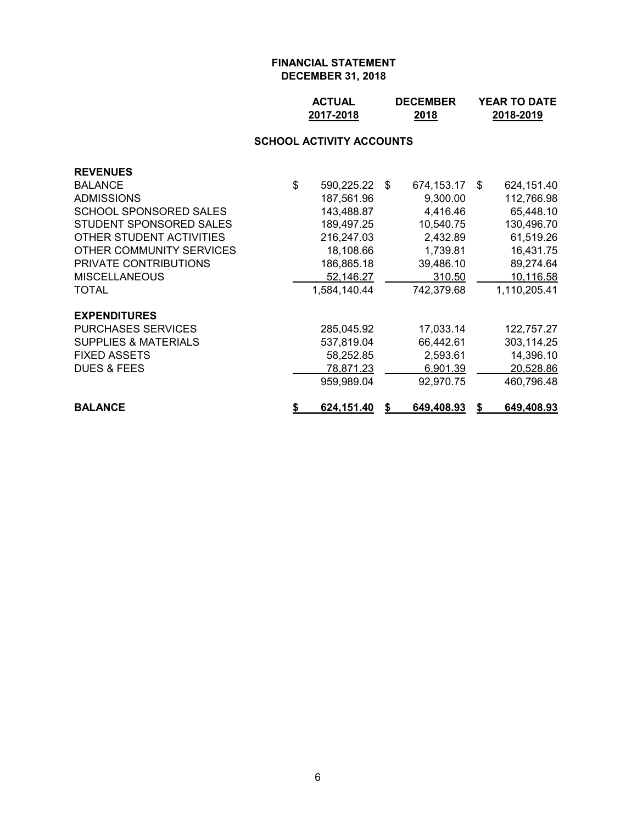| <b>ACTUAL</b> | <b>DECEMBER</b> | <b>YEAR TO DATE</b> |
|---------------|-----------------|---------------------|
| 2017-2018     | 2018            | 2018-2019           |

## **SCHOOL ACTIVITY ACCOUNTS**

| <b>REVENUES</b>                 |                         |    |            |      |              |
|---------------------------------|-------------------------|----|------------|------|--------------|
| <b>BALANCE</b>                  | \$<br>590,225.22        | \$ | 674,153.17 | - \$ | 624,151.40   |
| <b>ADMISSIONS</b>               | 187,561.96              |    | 9,300.00   |      | 112,766.98   |
| SCHOOL SPONSORED SALES          | 143,488.87              |    | 4,416.46   |      | 65,448.10    |
| STUDENT SPONSORED SALES         | 189,497.25              |    | 10,540.75  |      | 130,496.70   |
| OTHER STUDENT ACTIVITIES        | 216,247.03              |    | 2,432.89   |      | 61,519.26    |
| OTHER COMMUNITY SERVICES        | 18,108.66               |    | 1,739.81   |      | 16,431.75    |
| <b>PRIVATE CONTRIBUTIONS</b>    | 186,865.18              |    | 39,486.10  |      | 89,274.64    |
| <b>MISCELLANEOUS</b>            | 52,146.27               |    | 310.50     |      | 10,116.58    |
| TOTAL                           | 1,584,140.44            |    | 742,379.68 |      | 1,110,205.41 |
| <b>EXPENDITURES</b>             |                         |    |            |      |              |
| <b>PURCHASES SERVICES</b>       | 285,045.92              |    | 17,033.14  |      | 122,757.27   |
| <b>SUPPLIES &amp; MATERIALS</b> | 537,819.04              |    | 66,442.61  |      | 303,114.25   |
| <b>FIXED ASSETS</b>             | 58,252.85               |    | 2,593.61   |      | 14,396.10    |
| <b>DUES &amp; FEES</b>          | 78,871.23               |    | 6,901.39   |      | 20,528.86    |
|                                 | 959,989.04              |    | 92,970.75  |      | 460,796.48   |
| <b>BALANCE</b>                  | \$<br><u>624,151.40</u> | S  | 649,408.93 | S    | 649,408.93   |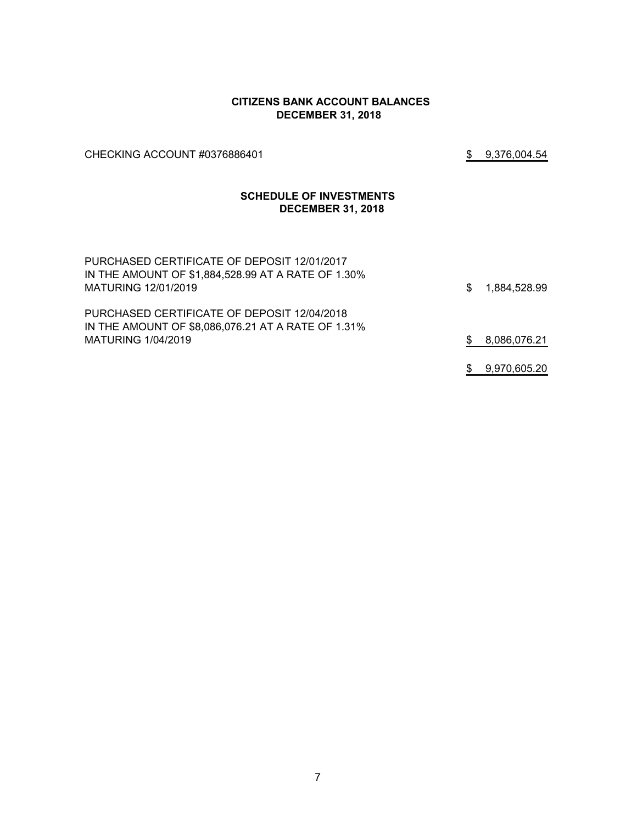#### **CITIZENS BANK ACCOUNT BALANCES DECEMBER 31, 2018**

CHECKING ACCOUNT #0376886401 \$ 9,376,004.54

#### **SCHEDULE OF INVESTMENTS DECEMBER 31, 2018**

| PURCHASED CERTIFICATE OF DEPOSIT 12/01/2017<br>IN THE AMOUNT OF \$1,884,528.99 AT A RATE OF 1.30%<br>MATURING 12/01/2019 | S. | 1,884,528.99 |
|--------------------------------------------------------------------------------------------------------------------------|----|--------------|
| PURCHASED CERTIFICATE OF DEPOSIT 12/04/2018<br>IN THE AMOUNT OF \$8,086,076.21 AT A RATE OF 1.31%<br>MATURING 1/04/2019  |    | 8,086,076.21 |
|                                                                                                                          |    |              |
|                                                                                                                          |    | 9,970,605.20 |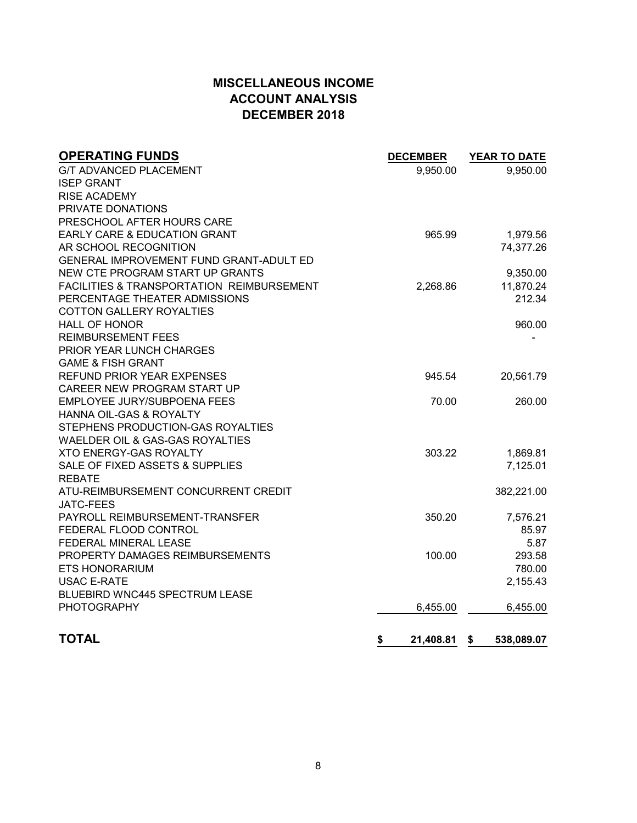# **MISCELLANEOUS INCOME ACCOUNT ANALYSIS DECEMBER 2018**

| <b>OPERATING FUNDS</b>                               | <b>DECEMBER</b> | <b>YEAR TO DATE</b> |
|------------------------------------------------------|-----------------|---------------------|
| <b>G/T ADVANCED PLACEMENT</b>                        | 9,950.00        | 9,950.00            |
| <b>ISEP GRANT</b>                                    |                 |                     |
| <b>RISE ACADEMY</b>                                  |                 |                     |
| PRIVATE DONATIONS                                    |                 |                     |
| PRESCHOOL AFTER HOURS CARE                           |                 |                     |
| EARLY CARE & EDUCATION GRANT                         | 965.99          | 1,979.56            |
| AR SCHOOL RECOGNITION                                |                 | 74,377.26           |
| GENERAL IMPROVEMENT FUND GRANT-ADULT ED              |                 |                     |
| NEW CTE PROGRAM START UP GRANTS                      |                 | 9,350.00            |
| <b>FACILITIES &amp; TRANSPORTATION REIMBURSEMENT</b> | 2,268.86        | 11,870.24           |
| PERCENTAGE THEATER ADMISSIONS                        |                 | 212.34              |
| <b>COTTON GALLERY ROYALTIES</b>                      |                 |                     |
| <b>HALL OF HONOR</b>                                 |                 | 960.00              |
| <b>REIMBURSEMENT FEES</b>                            |                 |                     |
| PRIOR YEAR LUNCH CHARGES                             |                 |                     |
| <b>GAME &amp; FISH GRANT</b>                         |                 |                     |
| <b>REFUND PRIOR YEAR EXPENSES</b>                    | 945.54          | 20,561.79           |
| CAREER NEW PROGRAM START UP                          |                 |                     |
| EMPLOYEE JURY/SUBPOENA FEES                          | 70.00           | 260.00              |
| HANNA OIL-GAS & ROYALTY                              |                 |                     |
| STEPHENS PRODUCTION-GAS ROYALTIES                    |                 |                     |
| WAELDER OIL & GAS-GAS ROYALTIES                      |                 |                     |
| <b>XTO ENERGY-GAS ROYALTY</b>                        | 303.22          | 1,869.81            |
| SALE OF FIXED ASSETS & SUPPLIES                      |                 | 7,125.01            |
| <b>REBATE</b>                                        |                 |                     |
| ATU-REIMBURSEMENT CONCURRENT CREDIT                  |                 | 382,221.00          |
| <b>JATC-FEES</b>                                     |                 |                     |
| PAYROLL REIMBURSEMENT-TRANSFER                       | 350.20          | 7,576.21            |
| FEDERAL FLOOD CONTROL                                |                 | 85.97               |
| FEDERAL MINERAL LEASE                                |                 | 5.87                |
| PROPERTY DAMAGES REIMBURSEMENTS                      | 100.00          | 293.58              |
| <b>ETS HONORARIUM</b>                                |                 | 780.00              |
| <b>USAC E-RATE</b>                                   |                 | 2,155.43            |
| <b>BLUEBIRD WNC445 SPECTRUM LEASE</b>                |                 |                     |
| <b>PHOTOGRAPHY</b>                                   | 6,455.00        | 6,455.00            |
|                                                      |                 |                     |
| <b>TOTAL</b>                                         | \$<br>21,408.81 | - \$<br>538,089.07  |